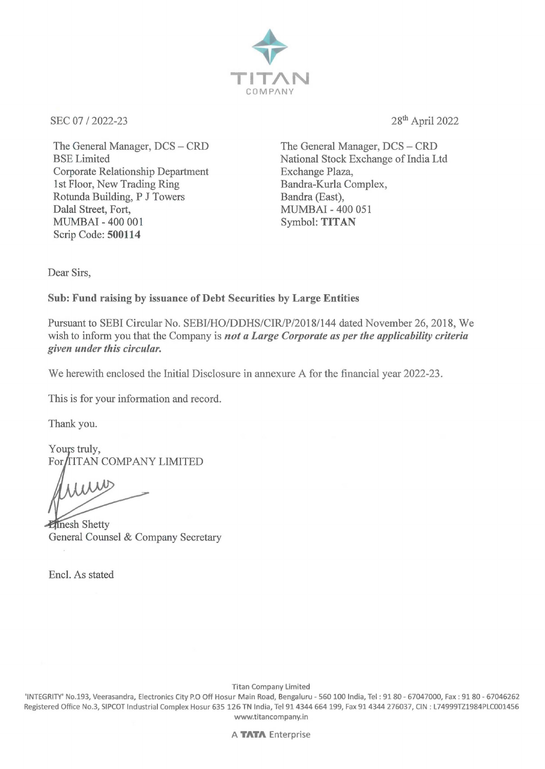

SEC 07 / 2022-23

The General Manager, DCS - CRD BSE Limited Corporate Relationship Department 1st Floor, New Trading Ring Rotunda Building, P J Towers Dalal Street, Fort, MUMBAI - 400 001 Scrip Code: **500114** 

28th April 2022

The General Manager, DCS-CRD National Stock Exchange of India Ltd Exchange Plaza, Bandra-Kurla Complex, Bandra (East), MUMBAI - 400 051 Symbol: **TITAN** 

Dear Sirs,

## **Sub: Fund raising by issuance of Debt Securities by Large Entities**

Pursuant to SEBI Circular No. SEBI/HO/DDHS/CIR/P/2018/144 dated November 26, 2018, We wish to inform you that the Company is *not a Large Corporate as per the applicability criteria given under this circular.* 

We herewith enclosed the Initial Disclosure in annexure A for the financial year 2022-23.

This is for your information and record.

Thank you.

Yours truly, For TITAN COMPANY LIMITED

**Elinesh Shetty** General Counsel & Company Secretary

Encl. As stated

Titan Company Limited

'INTEGRITY' No.193, Veerasandra, Electronics City P.O Off Hosur **Main** Road, Bengaluru - 560 100 India, Tel: 9180 - 67047000, Fax: 9180 - 67046262 Registered Office No.3, SIPCOT Industrial Complex Hosur 635 126 TN India, Tel 91 4344 664 199, Fax 91 4344 276037, CIN : L74999TZ1984PLC001456 www.titancompany.in